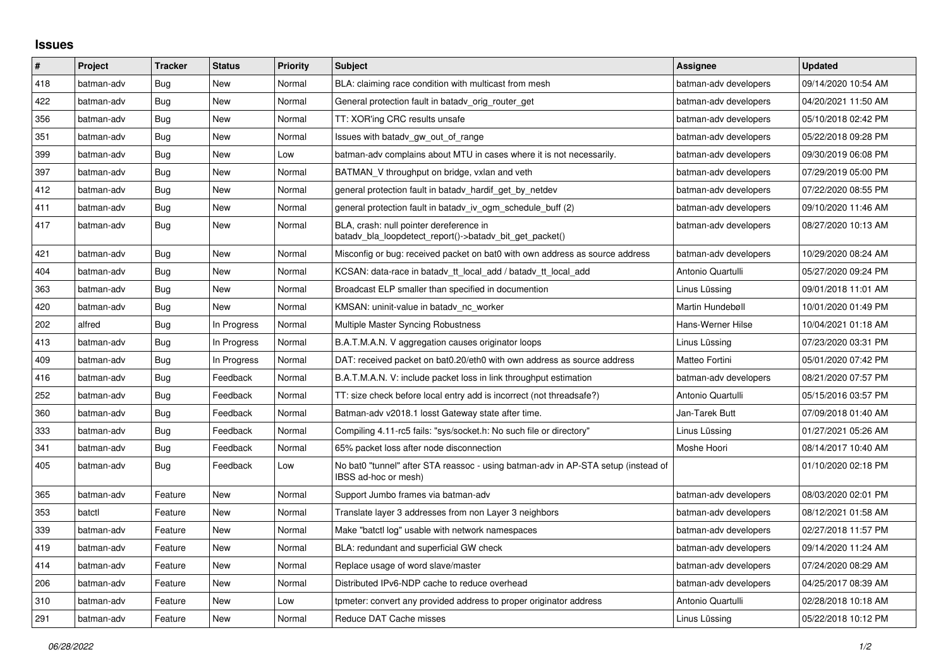## **Issues**

| #   | Project    | <b>Tracker</b> | <b>Status</b> | <b>Priority</b> | <b>Subject</b>                                                                                            | Assignee              | <b>Updated</b>      |
|-----|------------|----------------|---------------|-----------------|-----------------------------------------------------------------------------------------------------------|-----------------------|---------------------|
| 418 | batman-adv | Bug            | <b>New</b>    | Normal          | BLA: claiming race condition with multicast from mesh                                                     | batman-adv developers | 09/14/2020 10:54 AM |
| 422 | batman-adv | Bug            | New           | Normal          | General protection fault in batady orig router get                                                        | batman-adv developers | 04/20/2021 11:50 AM |
| 356 | batman-adv | Bug            | New           | Normal          | TT: XOR'ing CRC results unsafe                                                                            | batman-adv developers | 05/10/2018 02:42 PM |
| 351 | batman-adv | Bug            | <b>New</b>    | Normal          | Issues with batady gw out of range                                                                        | batman-adv developers | 05/22/2018 09:28 PM |
| 399 | batman-adv | Bug            | New           | Low             | batman-adv complains about MTU in cases where it is not necessarily.                                      | batman-adv developers | 09/30/2019 06:08 PM |
| 397 | batman-adv | Bug            | New           | Normal          | BATMAN_V throughput on bridge, vxlan and veth                                                             | batman-adv developers | 07/29/2019 05:00 PM |
| 412 | batman-adv | Bug            | <b>New</b>    | Normal          | general protection fault in batady hardif get by netdev                                                   | batman-adv developers | 07/22/2020 08:55 PM |
| 411 | batman-adv | Bug            | New           | Normal          | general protection fault in batady iv ogm schedule buff (2)                                               | batman-adv developers | 09/10/2020 11:46 AM |
| 417 | batman-adv | <b>Bug</b>     | New           | Normal          | BLA, crash: null pointer dereference in<br>batady bla loopdetect report()->batady bit get packet()        | batman-adv developers | 08/27/2020 10:13 AM |
| 421 | batman-adv | Bug            | New           | Normal          | Misconfig or bug: received packet on bat0 with own address as source address                              | batman-adv developers | 10/29/2020 08:24 AM |
| 404 | batman-adv | Bug            | <b>New</b>    | Normal          | KCSAN: data-race in batady tt local add / batady tt local add                                             | Antonio Quartulli     | 05/27/2020 09:24 PM |
| 363 | batman-adv | Bug            | New           | Normal          | Broadcast ELP smaller than specified in documention                                                       | Linus Lüssing         | 09/01/2018 11:01 AM |
| 420 | batman-adv | Bug            | <b>New</b>    | Normal          | KMSAN: uninit-value in batadv_nc_worker                                                                   | Martin Hundebøll      | 10/01/2020 01:49 PM |
| 202 | alfred     | Bug            | In Progress   | Normal          | Multiple Master Syncing Robustness                                                                        | Hans-Werner Hilse     | 10/04/2021 01:18 AM |
| 413 | batman-adv | Bug            | In Progress   | Normal          | B.A.T.M.A.N. V aggregation causes originator loops                                                        | Linus Lüssing         | 07/23/2020 03:31 PM |
| 409 | batman-adv | Bug            | In Progress   | Normal          | DAT: received packet on bat0.20/eth0 with own address as source address                                   | Matteo Fortini        | 05/01/2020 07:42 PM |
| 416 | batman-adv | Bug            | Feedback      | Normal          | B.A.T.M.A.N. V: include packet loss in link throughput estimation                                         | batman-adv developers | 08/21/2020 07:57 PM |
| 252 | batman-adv | <b>Bug</b>     | Feedback      | Normal          | TT: size check before local entry add is incorrect (not threadsafe?)                                      | Antonio Quartulli     | 05/15/2016 03:57 PM |
| 360 | batman-adv | Bug            | Feedback      | Normal          | Batman-adv v2018.1 losst Gateway state after time.                                                        | Jan-Tarek Butt        | 07/09/2018 01:40 AM |
| 333 | batman-adv | <b>Bug</b>     | Feedback      | Normal          | Compiling 4.11-rc5 fails: "sys/socket.h: No such file or directory"                                       | Linus Lüssing         | 01/27/2021 05:26 AM |
| 341 | batman-adv | Bug            | Feedback      | Normal          | 65% packet loss after node disconnection                                                                  | Moshe Hoori           | 08/14/2017 10:40 AM |
| 405 | batman-adv | Bug            | Feedback      | Low             | No bat0 "tunnel" after STA reassoc - using batman-adv in AP-STA setup (instead of<br>IBSS ad-hoc or mesh) |                       | 01/10/2020 02:18 PM |
| 365 | batman-adv | Feature        | New           | Normal          | Support Jumbo frames via batman-adv                                                                       | batman-adv developers | 08/03/2020 02:01 PM |
| 353 | batctl     | Feature        | <b>New</b>    | Normal          | Translate layer 3 addresses from non Layer 3 neighbors                                                    | batman-adv developers | 08/12/2021 01:58 AM |
| 339 | batman-adv | Feature        | New           | Normal          | Make "batctl log" usable with network namespaces                                                          | batman-adv developers | 02/27/2018 11:57 PM |
| 419 | batman-adv | Feature        | New           | Normal          | BLA: redundant and superficial GW check                                                                   | batman-adv developers | 09/14/2020 11:24 AM |
| 414 | batman-adv | Feature        | New           | Normal          | Replace usage of word slave/master                                                                        | batman-adv developers | 07/24/2020 08:29 AM |
| 206 | batman-adv | Feature        | New           | Normal          | Distributed IPv6-NDP cache to reduce overhead                                                             | batman-adv developers | 04/25/2017 08:39 AM |
| 310 | batman-adv | Feature        | New           | Low             | tpmeter: convert any provided address to proper originator address                                        | Antonio Quartulli     | 02/28/2018 10:18 AM |
| 291 | batman-adv | Feature        | New           | Normal          | Reduce DAT Cache misses                                                                                   | Linus Lüssing         | 05/22/2018 10:12 PM |